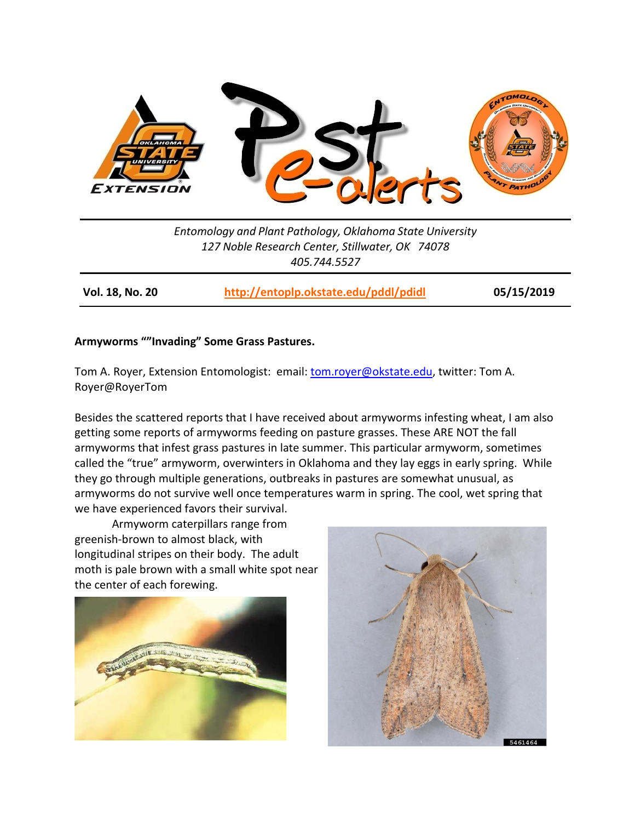

*Entomology and Plant Pathology, Oklahoma State University 127 Noble Research Center, Stillwater, OK 74078 405.744.5527*

**Vol. 18, No. 20 <http://entoplp.okstate.edu/pddl/pdidl> 05/15/2019**

## **Armyworms ""Invading" Some Grass Pastures.**

Tom A. Royer, Extension Entomologist: email: [tom.royer@okstate.edu,](mailto:tom.royer@okstate.edu) twitter: Tom A. Royer@RoyerTom

Besides the scattered reports that I have received about armyworms infesting wheat, I am also getting some reports of armyworms feeding on pasture grasses. These ARE NOT the fall armyworms that infest grass pastures in late summer. This particular armyworm, sometimes called the "true" armyworm, overwinters in Oklahoma and they lay eggs in early spring. While they go through multiple generations, outbreaks in pastures are somewhat unusual, as armyworms do not survive well once temperatures warm in spring. The cool, wet spring that we have experienced favors their survival.

Armyworm caterpillars range from greenish-brown to almost black, with longitudinal stripes on their body. The adult moth is pale brown with a small white spot near the center of each forewing.



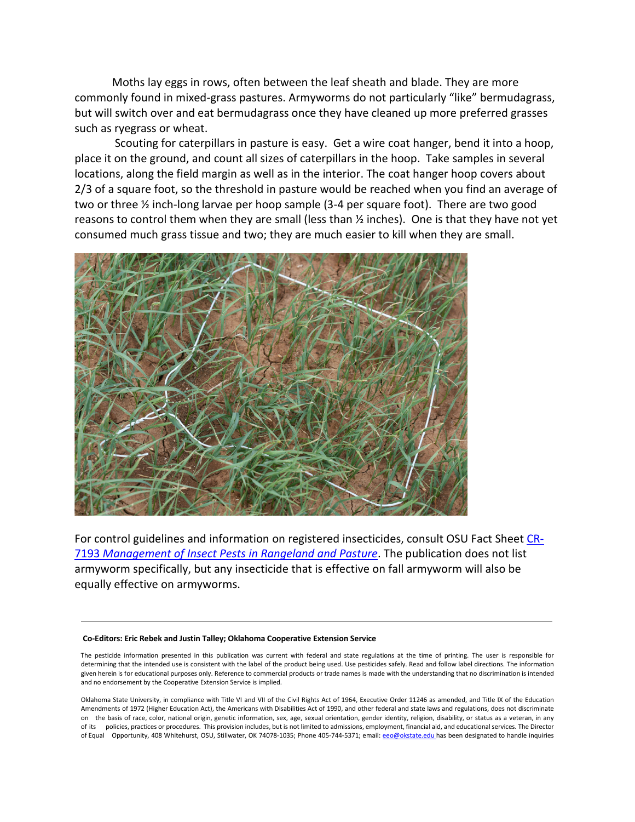Moths lay eggs in rows, often between the leaf sheath and blade. They are more commonly found in mixed-grass pastures. Armyworms do not particularly "like" bermudagrass, but will switch over and eat bermudagrass once they have cleaned up more preferred grasses such as ryegrass or wheat.

Scouting for caterpillars in pasture is easy. Get a wire coat hanger, bend it into a hoop, place it on the ground, and count all sizes of caterpillars in the hoop. Take samples in several locations, along the field margin as well as in the interior. The coat hanger hoop covers about 2/3 of a square foot, so the threshold in pasture would be reached when you find an average of two or three ½ inch-long larvae per hoop sample (3-4 per square foot). There are two good reasons to control them when they are small (less than ½ inches). One is that they have not yet consumed much grass tissue and two; they are much easier to kill when they are small.



For control guidelines and information on registered insecticides, consult OSU Fact Sheet [CR-](http://pods.dasnr.okstate.edu/docushare/dsweb/Get/Document-5173/CR-7193web2019.pdf)7193 *[Management of Insect Pests in Rangeland and Pasture](http://pods.dasnr.okstate.edu/docushare/dsweb/Get/Document-5173/CR-7193web2019.pdf)*. The publication does not list armyworm specifically, but any insecticide that is effective on fall armyworm will also be equally effective on armyworms.

## **Co-Editors: Eric Rebek and Justin Talley; Oklahoma Cooperative Extension Service**

The pesticide information presented in this publication was current with federal and state regulations at the time of printing. The user is responsible for determining that the intended use is consistent with the label of the product being used. Use pesticides safely. Read and follow label directions. The information given herein is for educational purposes only. Reference to commercial products or trade names is made with the understanding that no discrimination is intended and no endorsement by the Cooperative Extension Service is implied.

Oklahoma State University, in compliance with Title VI and VII of the Civil Rights Act of 1964, Executive Order 11246 as amended, and Title IX of the Education Amendments of 1972 (Higher Education Act), the Americans with Disabilities Act of 1990, and other federal and state laws and regulations, does not discriminate on the basis of race, color, national origin, genetic information, sex, age, sexual orientation, gender identity, religion, disability, or status as a veteran, in any of its policies, practices or procedures. This provision includes, but is not limited to admissions, employment, financial aid, and educational services. The Director of Equal Opportunity, 408 Whitehurst, OSU, Stillwater, OK 74078-1035; Phone 405-744-5371; email: [eeo@okstate.edu](mailto:eeo@okstate.edu) has been designated to handle inquiries